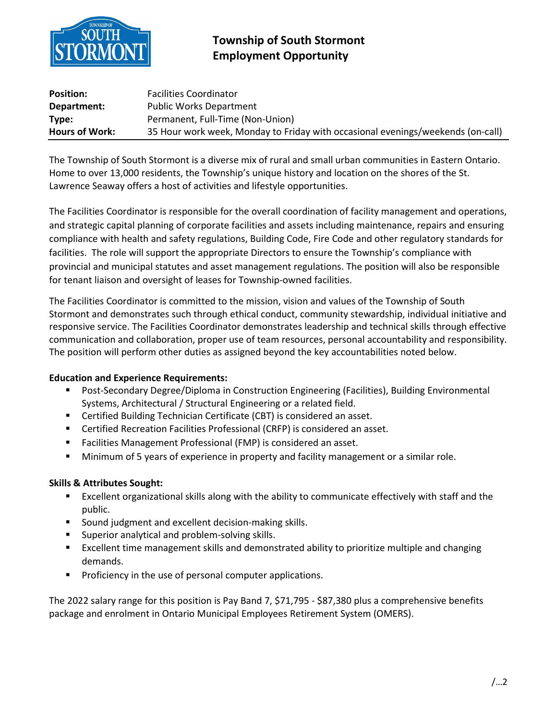

## **Township of South Stormont Employment Opportunity**

| <b>Position:</b>      | <b>Facilities Coordinator</b>                                                   |
|-----------------------|---------------------------------------------------------------------------------|
| Department:           | <b>Public Works Department</b>                                                  |
| Type:                 | Permanent, Full-Time (Non-Union)                                                |
| <b>Hours of Work:</b> | 35 Hour work week, Monday to Friday with occasional evenings/weekends (on-call) |

The Township of South Stormont is a diverse mix of rural and small urban communities in Eastern Ontario. Home to over 13,000 residents, the Township's unique history and location on the shores of the St. Lawrence Seaway offers a host of activities and lifestyle opportunities.

The Facilities Coordinator is responsible for the overall coordination of facility management and operations, and strategic capital planning of corporate facilities and assets including maintenance, repairs and ensuring compliance with health and safety regulations, Building Code, Fire Code and other regulatory standards for facilities. The role will support the appropriate Directors to ensure the Township's compliance with provincial and municipal statutes and asset management regulations. The position will also be responsible for tenant liaison and oversight of leases for Township-owned facilities.

The Facilities Coordinator is committed to the mission, vision and values of the Township of South Stormont and demonstrates such through ethical conduct, community stewardship, individual initiative and responsive service. The Facilities Coordinator demonstrates leadership and technical skills through effective communication and collaboration, proper use of team resources, personal accountability and responsibility. The position will perform other duties as assigned beyond the key accountabilities noted below.

## **Education and Experience Requirements:**

- Post-Secondary Degree/Diploma in Construction Engineering (Facilities), Building Environmental Systems, Architectural / Structural Engineering or a related field.
- Certified Building Technician Certificate (CBT) is considered an asset.
- Certified Recreation Facilities Professional (CRFP) is considered an asset.
- **Facilities Management Professional (FMP) is considered an asset.**
- Minimum of 5 years of experience in property and facility management or a similar role.

## **Skills & Attributes Sought:**

- Excellent organizational skills along with the ability to communicate effectively with staff and the public.
- **Sound judgment and excellent decision-making skills.**
- **Superior analytical and problem-solving skills.**
- Excellent time management skills and demonstrated ability to prioritize multiple and changing demands.
- **Proficiency in the use of personal computer applications.**

The 2022 salary range for this position is Pay Band 7, \$71,795 - \$87,380 plus a comprehensive benefits package and enrolment in Ontario Municipal Employees Retirement System (OMERS).